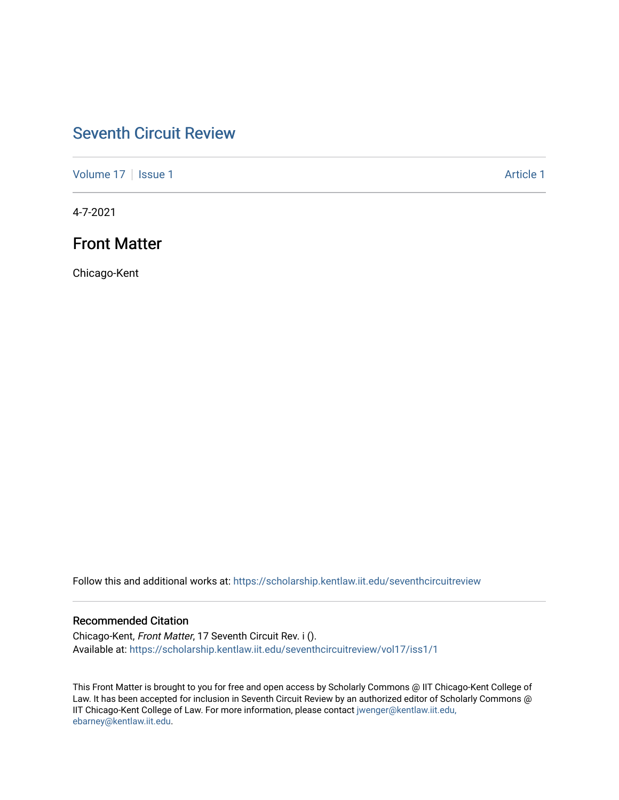# [Seventh Circuit Review](https://scholarship.kentlaw.iit.edu/seventhcircuitreview)

[Volume 17](https://scholarship.kentlaw.iit.edu/seventhcircuitreview/vol17) | [Issue 1](https://scholarship.kentlaw.iit.edu/seventhcircuitreview/vol17/iss1) Article 1

4-7-2021

# Front Matter

Chicago-Kent

Follow this and additional works at: [https://scholarship.kentlaw.iit.edu/seventhcircuitreview](https://scholarship.kentlaw.iit.edu/seventhcircuitreview?utm_source=scholarship.kentlaw.iit.edu%2Fseventhcircuitreview%2Fvol17%2Fiss1%2F1&utm_medium=PDF&utm_campaign=PDFCoverPages) 

## Recommended Citation

Chicago-Kent, Front Matter, 17 Seventh Circuit Rev. i (). Available at: [https://scholarship.kentlaw.iit.edu/seventhcircuitreview/vol17/iss1/1](https://scholarship.kentlaw.iit.edu/seventhcircuitreview/vol17/iss1/1?utm_source=scholarship.kentlaw.iit.edu%2Fseventhcircuitreview%2Fvol17%2Fiss1%2F1&utm_medium=PDF&utm_campaign=PDFCoverPages) 

This Front Matter is brought to you for free and open access by Scholarly Commons @ IIT Chicago-Kent College of Law. It has been accepted for inclusion in Seventh Circuit Review by an authorized editor of Scholarly Commons @ IIT Chicago-Kent College of Law. For more information, please contact [jwenger@kentlaw.iit.edu,](mailto:jwenger@kentlaw.iit.edu,%20ebarney@kentlaw.iit.edu)  [ebarney@kentlaw.iit.edu](mailto:jwenger@kentlaw.iit.edu,%20ebarney@kentlaw.iit.edu).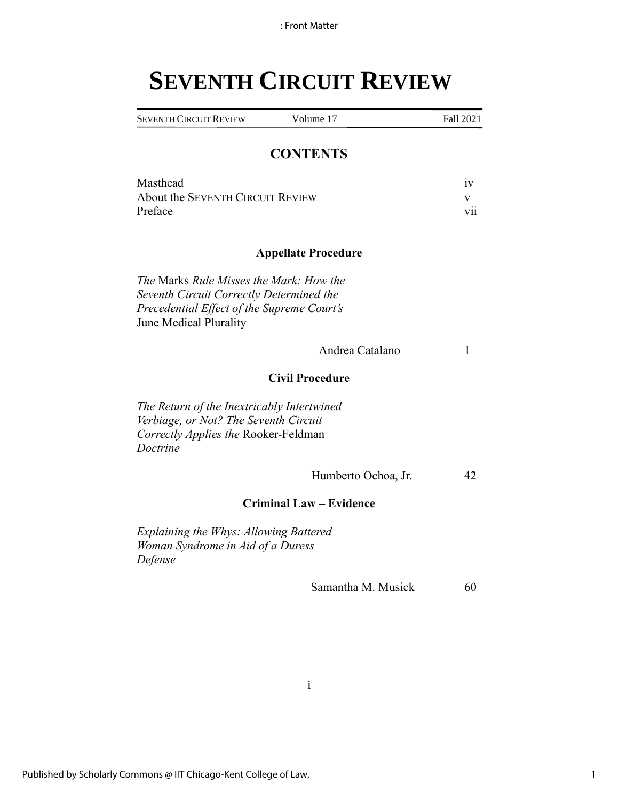# **SEVENTH CIRCUIT REVIEW**

| <b>SEVENTH CIRCUIT REVIEW</b> | Volume 17 | Fall 2021 |
|-------------------------------|-----------|-----------|

# **CONTENTS**

| Masthead                         |     |
|----------------------------------|-----|
| About the SEVENTH CIRCUIT REVIEW |     |
| Preface                          | V11 |

### **Appellate Procedure**

*The* Marks *Rule Misses the Mark: How the Seventh Circuit Correctly Determined the Precedential Effect of the Supreme Court's*  June Medical Plurality

Andrea Catalano 1

# **Civil Procedure**

*The Return of the Inextricably Intertwined Verbiage, or Not? The Seventh Circuit Correctly Applies the* Rooker-Feldman *Doctrine*

Humberto Ochoa, Jr. 42

### **Criminal Law – Evidence**

*Explaining the Whys: Allowing Battered Woman Syndrome in Aid of a Duress Defense*

Samantha M. Musick 60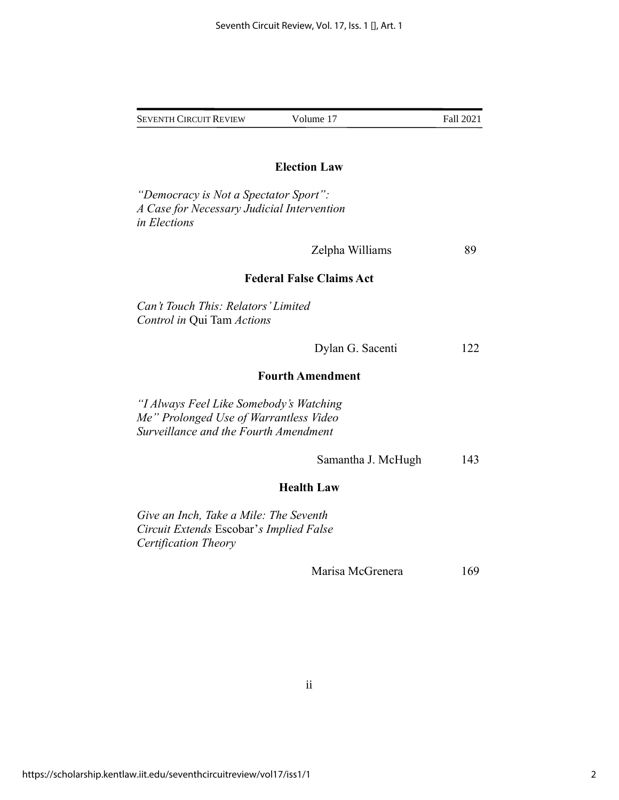|                                                                                                                            | <b>Election Law</b>             |     |
|----------------------------------------------------------------------------------------------------------------------------|---------------------------------|-----|
| "Democracy is Not a Spectator Sport":<br>A Case for Necessary Judicial Intervention<br>in Elections                        |                                 |     |
|                                                                                                                            | Zelpha Williams                 | 89  |
|                                                                                                                            | <b>Federal False Claims Act</b> |     |
| Can't Touch This: Relators' Limited<br>Control in Qui Tam Actions                                                          |                                 |     |
|                                                                                                                            | Dylan G. Sacenti                | 122 |
| <b>Fourth Amendment</b>                                                                                                    |                                 |     |
| "I Always Feel Like Somebody's Watching<br>Me" Prolonged Use of Warrantless Video<br>Surveillance and the Fourth Amendment |                                 |     |
|                                                                                                                            | Samantha J. McHugh              | 143 |
|                                                                                                                            | <b>Health Law</b>               |     |
| Give an Inch, Take a Mile: The Seventh<br>Circuit Extends Escobar's Implied False<br>Certification Theory                  |                                 |     |
|                                                                                                                            | Marisa McGrenera                | 169 |
|                                                                                                                            |                                 |     |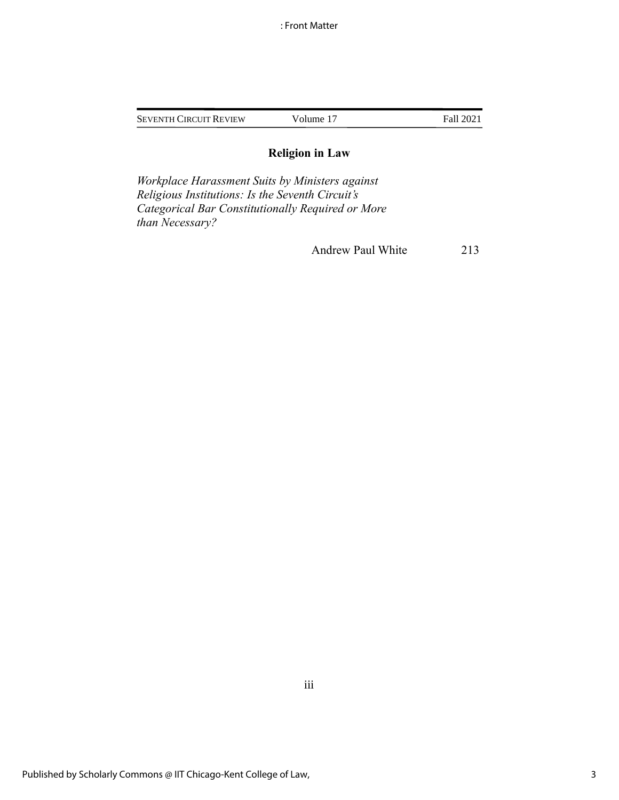| <b>SEVENTH CIRCUIT REVIEW</b> | Volume 17 | Fall 2021 |
|-------------------------------|-----------|-----------|
|                               |           |           |

# **Religion in Law**

*Workplace Harassment Suits by Ministers against Religious Institutions: Is the Seventh Circuit's Categorical Bar Constitutionally Required or More than Necessary?*

Andrew Paul White 213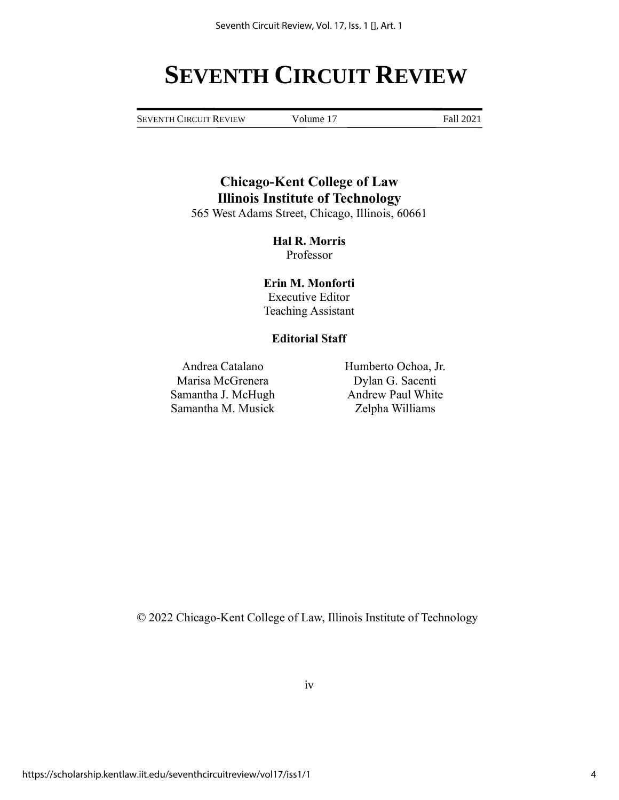# **SEVENTH CIRCUIT REVIEW**

SEVENTH CIRCUIT REVIEW Volume 17 Fall 2021

**Chicago-Kent College of Law Illinois Institute of Technology** 565 West Adams Street, Chicago, Illinois, 60661

> **Hal R. Morris** Professor

**Erin M. Monforti** Executive Editor Teaching Assistant

## **Editorial Staff**

Andrea Catalano Humberto Ochoa, Jr. Marisa McGrenera Dylan G. Sacenti Samantha J. McHugh Andrew Paul White Samantha M. Musick Zelpha Williams

© 2022 Chicago-Kent College of Law, Illinois Institute of Technology

iv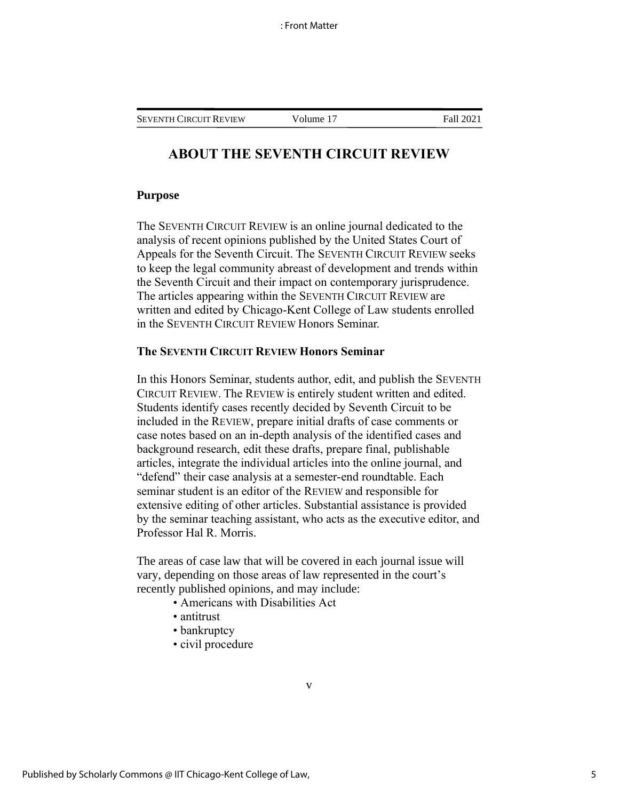# **ABOUT THE SEVENTH CIRCUIT REVIEW**

#### **Purpose**

The SEVENTH CIRCUIT REVIEW is an online journal dedicated to the analysis of recent opinions published by the United States Court of Appeals for the Seventh Circuit. The SEVENTH CIRCUIT REVIEW seeks to keep the legal community abreast of development and trends within the Seventh Circuit and their impact on contemporary jurisprudence. The articles appearing within the SEVENTH CIRCUIT REVIEW are written and edited by Chicago-Kent College of Law students enrolled in the SEVENTH CIRCUIT REVIEW Honors Seminar.

# **The SEVENTH CIRCUIT REVIEW Honors Seminar**

In this Honors Seminar, students author, edit, and publish the SEVENTH CIRCUIT REVIEW. The REVIEW is entirely student written and edited. Students identify cases recently decided by Seventh Circuit to be included in the REVIEW, prepare initial drafts of case comments or case notes based on an in-depth analysis of the identified cases and background research, edit these drafts, prepare final, publishable articles, integrate the individual articles into the online journal, and "defend" their case analysis at a semester-end roundtable. Each seminar student is an editor of the REVIEW and responsible for extensive editing of other articles. Substantial assistance is provided by the seminar teaching assistant, who acts as the executive editor, and Professor Hal R. Morris.

The areas of case law that will be covered in each journal issue will vary, depending on those areas of law represented in the court's recently published opinions, and may include:

- Americans with Disabilities Act
- antitrust
- bankruptcy
- civil procedure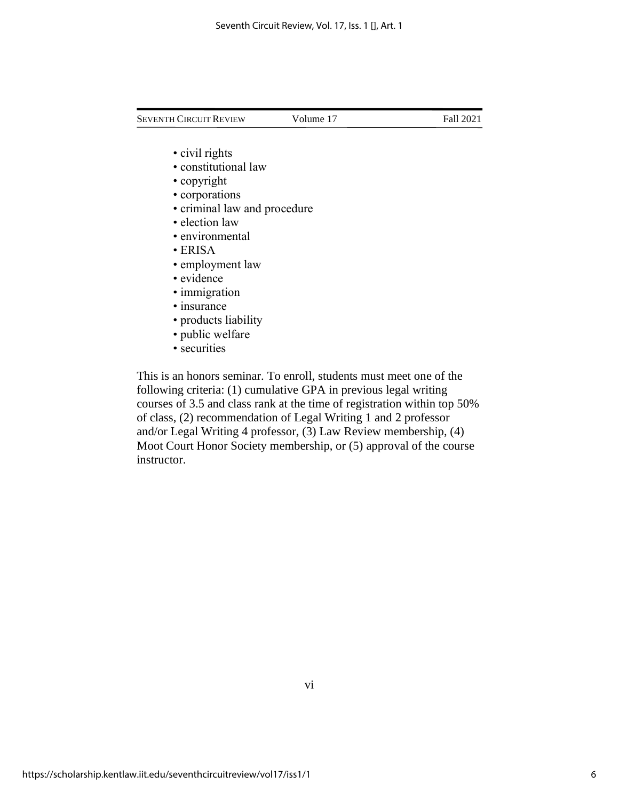- civil rights
- constitutional law
- copyright
- corporations
- criminal law and procedure
- election law
- environmental
- ERISA
- employment law
- evidence
- immigration
- insurance
- products liability
- public welfare
- securities

This is an honors seminar. To enroll, students must meet one of the following criteria: (1) cumulative GPA in previous legal writing courses of 3.5 and class rank at the time of registration within top 50% of class, (2) recommendation of Legal Writing 1 and 2 professor and/or Legal Writing 4 professor, (3) Law Review membership, (4) Moot Court Honor Society membership, or (5) approval of the course instructor.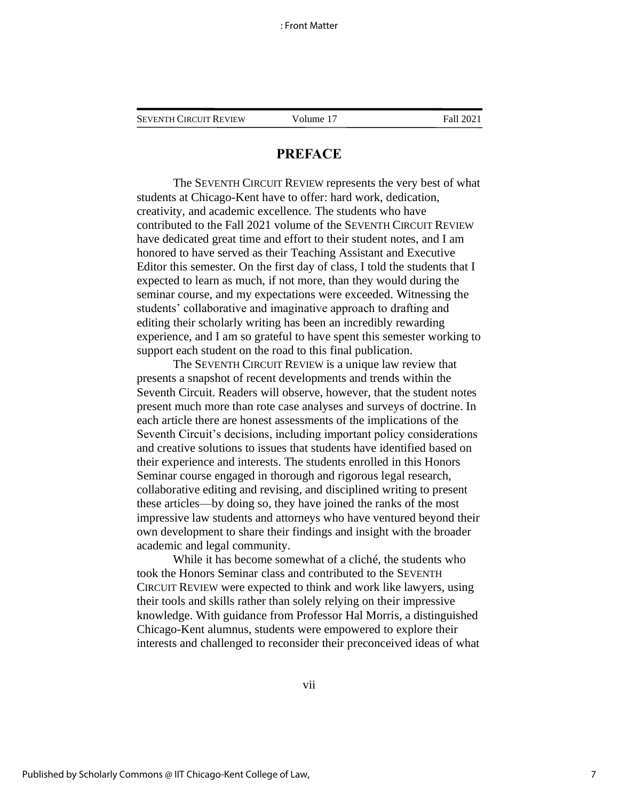# **PREFACE**

The SEVENTH CIRCUIT REVIEW represents the very best of what students at Chicago-Kent have to offer: hard work, dedication, creativity, and academic excellence. The students who have contributed to the Fall 2021 volume of the SEVENTH CIRCUIT REVIEW have dedicated great time and effort to their student notes, and I am honored to have served as their Teaching Assistant and Executive Editor this semester. On the first day of class, I told the students that I expected to learn as much, if not more, than they would during the seminar course, and my expectations were exceeded. Witnessing the students' collaborative and imaginative approach to drafting and editing their scholarly writing has been an incredibly rewarding experience, and I am so grateful to have spent this semester working to support each student on the road to this final publication.

The SEVENTH CIRCUIT REVIEW is a unique law review that presents a snapshot of recent developments and trends within the Seventh Circuit. Readers will observe, however, that the student notes present much more than rote case analyses and surveys of doctrine. In each article there are honest assessments of the implications of the Seventh Circuit's decisions, including important policy considerations and creative solutions to issues that students have identified based on their experience and interests. The students enrolled in this Honors Seminar course engaged in thorough and rigorous legal research, collaborative editing and revising, and disciplined writing to present these articles—by doing so, they have joined the ranks of the most impressive law students and attorneys who have ventured beyond their own development to share their findings and insight with the broader academic and legal community.

While it has become somewhat of a cliché, the students who took the Honors Seminar class and contributed to the SEVENTH CIRCUIT REVIEW were expected to think and work like lawyers, using their tools and skills rather than solely relying on their impressive knowledge. With guidance from Professor Hal Morris, a distinguished Chicago-Kent alumnus, students were empowered to explore their interests and challenged to reconsider their preconceived ideas of what